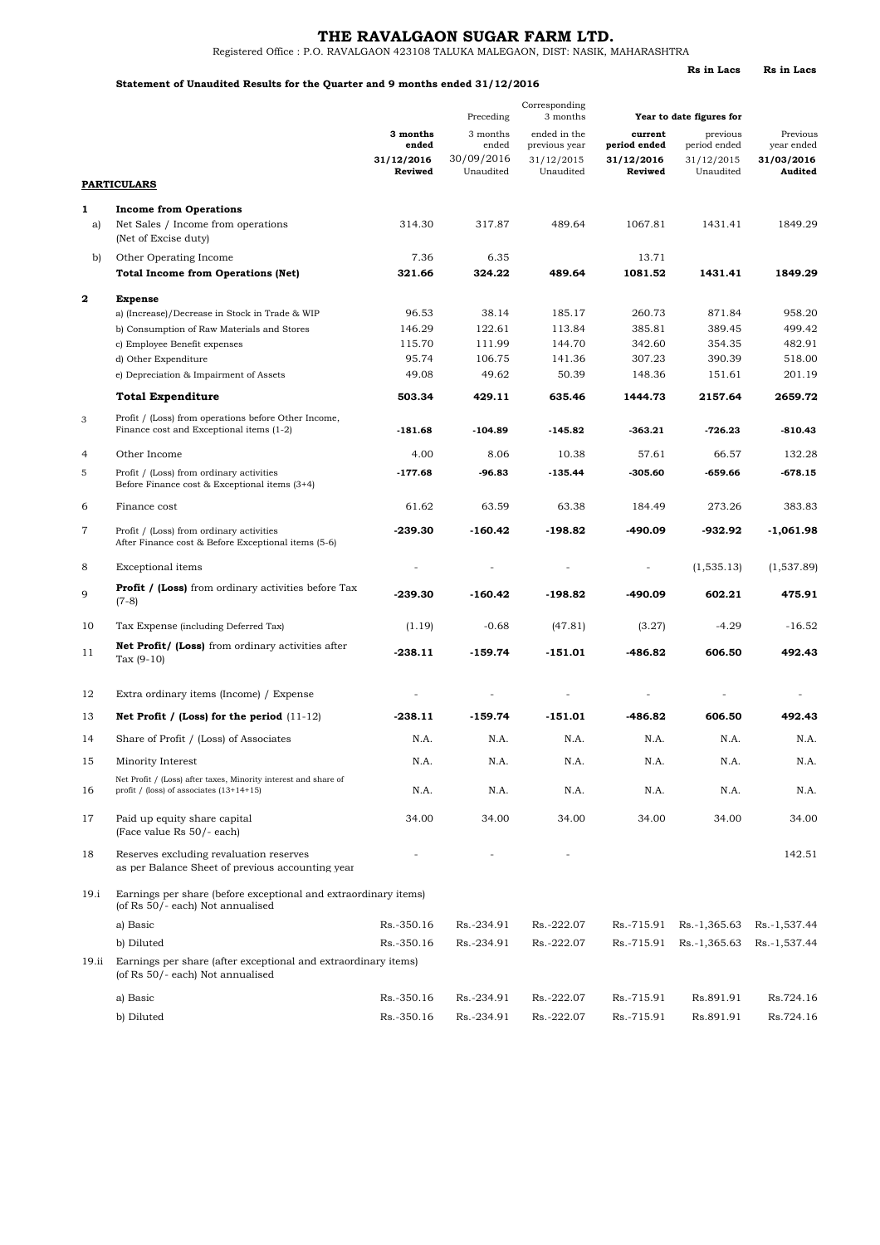## **THE RAVALGAON SUGAR FARM LTD.**

**Rs in Lacs Rs in Lacs**

Registered Office : P.O. RAVALGAON 423108 TALUKA MALEGAON, DIST: NASIK, MAHARASHTRA

## **Statement of Unaudited Results for the Quarter and 9 months ended 31/12/2016**

|                |                                                                                                                 | Corresponding<br>3 months<br>Preceding<br>Year to date figures for |                                              |                                                          |                                                  |                                                     |                                                 |  |  |  |
|----------------|-----------------------------------------------------------------------------------------------------------------|--------------------------------------------------------------------|----------------------------------------------|----------------------------------------------------------|--------------------------------------------------|-----------------------------------------------------|-------------------------------------------------|--|--|--|
|                |                                                                                                                 | 3 months<br>ended<br>31/12/2016<br>Reviwed                         | 3 months<br>ended<br>30/09/2016<br>Unaudited | ended in the<br>previous year<br>31/12/2015<br>Unaudited | current<br>period ended<br>31/12/2016<br>Reviwed | previous<br>period ended<br>31/12/2015<br>Unaudited | Previous<br>year ended<br>31/03/2016<br>Audited |  |  |  |
|                | <b>PARTICULARS</b>                                                                                              |                                                                    |                                              |                                                          |                                                  |                                                     |                                                 |  |  |  |
| $\mathbf{1}$   | <b>Income from Operations</b>                                                                                   |                                                                    |                                              |                                                          |                                                  |                                                     |                                                 |  |  |  |
| a)             | Net Sales / Income from operations<br>(Net of Excise duty)                                                      | 314.30                                                             | 317.87                                       | 489.64                                                   | 1067.81                                          | 1431.41                                             | 1849.29                                         |  |  |  |
| b)             | Other Operating Income                                                                                          | 7.36                                                               | 6.35                                         |                                                          | 13.71                                            |                                                     |                                                 |  |  |  |
|                | <b>Total Income from Operations (Net)</b>                                                                       | 321.66                                                             | 324.22                                       | 489.64                                                   | 1081.52                                          | 1431.41                                             | 1849.29                                         |  |  |  |
| $\mathbf{2}$   | <b>Expense</b>                                                                                                  |                                                                    |                                              |                                                          |                                                  |                                                     |                                                 |  |  |  |
|                | a) (Increase)/Decrease in Stock in Trade & WIP                                                                  | 96.53                                                              | 38.14                                        | 185.17                                                   | 260.73                                           | 871.84                                              | 958.20                                          |  |  |  |
|                | b) Consumption of Raw Materials and Stores                                                                      | 146.29                                                             | 122.61                                       | 113.84                                                   | 385.81                                           | 389.45                                              | 499.42                                          |  |  |  |
|                | c) Employee Benefit expenses<br>d) Other Expenditure                                                            | 115.70<br>95.74                                                    | 111.99<br>106.75                             | 144.70<br>141.36                                         | 342.60<br>307.23                                 | 354.35<br>390.39                                    | 482.91<br>518.00                                |  |  |  |
|                | e) Depreciation & Impairment of Assets                                                                          | 49.08                                                              | 49.62                                        | 50.39                                                    | 148.36                                           | 151.61                                              | 201.19                                          |  |  |  |
|                | <b>Total Expenditure</b>                                                                                        | 503.34                                                             | 429.11                                       | 635.46                                                   | 1444.73                                          | 2157.64                                             | 2659.72                                         |  |  |  |
|                |                                                                                                                 |                                                                    |                                              |                                                          |                                                  |                                                     |                                                 |  |  |  |
| 3              | Profit / (Loss) from operations before Other Income,<br>Finance cost and Exceptional items (1-2)                | $-181.68$                                                          | $-104.89$                                    | -145.82                                                  | $-363.21$                                        | $-726.23$                                           | $-810.43$                                       |  |  |  |
| $\overline{4}$ | Other Income                                                                                                    | 4.00                                                               | 8.06                                         | 10.38                                                    | 57.61                                            | 66.57                                               | 132.28                                          |  |  |  |
| 5              | Profit / (Loss) from ordinary activities<br>Before Finance cost & Exceptional items (3+4)                       | $-177.68$                                                          | $-96.83$                                     | $-135.44$                                                | $-305.60$                                        | $-659.66$                                           | -678.15                                         |  |  |  |
| 6              | Finance cost                                                                                                    | 61.62                                                              | 63.59                                        | 63.38                                                    | 184.49                                           | 273.26                                              | 383.83                                          |  |  |  |
| 7              | Profit / (Loss) from ordinary activities<br>After Finance cost & Before Exceptional items (5-6)                 | $-239.30$                                                          | -160.42                                      | $-198.82$                                                | -490.09                                          | -932.92                                             | $-1,061.98$                                     |  |  |  |
| 8              | Exceptional items                                                                                               | $\overline{a}$                                                     |                                              |                                                          | $\equiv$                                         | (1, 535.13)                                         | (1,537.89)                                      |  |  |  |
| 9              | <b>Profit / (Loss)</b> from ordinary activities before Tax<br>$(7-8)$                                           | $-239.30$                                                          | $-160.42$                                    | $-198.82$                                                | -490.09                                          | 602.21                                              | 475.91                                          |  |  |  |
| 10             | Tax Expense (including Deferred Tax)                                                                            | (1.19)                                                             | $-0.68$                                      | (47.81)                                                  | (3.27)                                           | $-4.29$                                             | $-16.52$                                        |  |  |  |
| 11             | Net Profit/ (Loss) from ordinary activities after<br>Tax $(9-10)$                                               | $-238.11$                                                          | $-159.74$                                    | $-151.01$                                                | $-486.82$                                        | 606.50                                              | 492.43                                          |  |  |  |
| 12             | Extra ordinary items (Income) / Expense                                                                         |                                                                    |                                              |                                                          |                                                  |                                                     |                                                 |  |  |  |
| 13             | Net Profit / (Loss) for the period $(11-12)$                                                                    | $-238.11$                                                          | $-159.74$                                    | $-151.01$                                                | -486.82                                          | 606.50                                              | 492.43                                          |  |  |  |
| 14             | Share of Profit / (Loss) of Associates                                                                          | N.A.                                                               | N.A.                                         | N.A.                                                     | N.A.                                             | N.A.                                                | N.A.                                            |  |  |  |
| 15             | Minority Interest                                                                                               | N.A.                                                               | N.A.                                         | N.A.                                                     | N.A.                                             | N.A.                                                | N.A.                                            |  |  |  |
| 16             | Net Profit / (Loss) after taxes, Minority interest and share of<br>profit $/$ (loss) of associates $(13+14+15)$ | N.A.                                                               | N.A.                                         | N.A.                                                     | N.A.                                             | N.A.                                                | N.A.                                            |  |  |  |
| 17             | Paid up equity share capital<br>(Face value Rs 50/- each)                                                       | 34.00                                                              | 34.00                                        | 34.00                                                    | 34.00                                            | 34.00                                               | 34.00                                           |  |  |  |
| 18             | Reserves excluding revaluation reserves<br>as per Balance Sheet of previous accounting year                     |                                                                    |                                              |                                                          |                                                  |                                                     | 142.51                                          |  |  |  |
| 19.i           | Earnings per share (before exceptional and extraordinary items)<br>(of Rs 50/- each) Not annualised             |                                                                    |                                              |                                                          |                                                  |                                                     |                                                 |  |  |  |
|                | a) Basic                                                                                                        | Rs.-350.16                                                         | Rs.-234.91                                   | Rs.-222.07                                               | Rs.-715.91                                       | Rs.-1,365.63                                        | Rs.-1,537.44                                    |  |  |  |
|                | b) Diluted                                                                                                      | Rs.-350.16                                                         | Rs.-234.91                                   | Rs.-222.07                                               | Rs.-715.91                                       | Rs.-1,365.63                                        | Rs.-1,537.44                                    |  |  |  |
| 19.ii          | Earnings per share (after exceptional and extraordinary items)<br>(of Rs 50/- each) Not annualised              |                                                                    |                                              |                                                          |                                                  |                                                     |                                                 |  |  |  |
|                | a) Basic                                                                                                        | Rs.-350.16                                                         | Rs.-234.91                                   | Rs.-222.07                                               | Rs.-715.91                                       | Rs.891.91                                           | Rs.724.16                                       |  |  |  |
|                | b) Diluted                                                                                                      | Rs.-350.16                                                         | Rs.-234.91                                   | Rs.-222.07                                               | Rs.-715.91                                       | Rs.891.91                                           | Rs.724.16                                       |  |  |  |